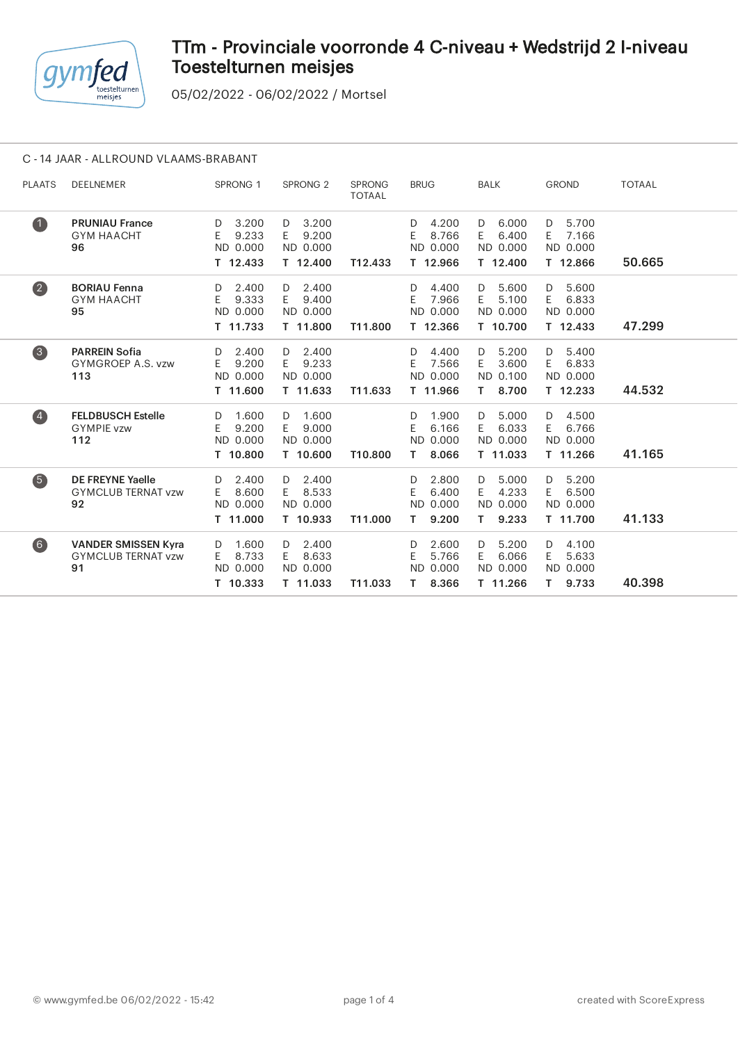

05/02/2022 - 06/02/2022 / Mortsel

### C - 14 JAAR - ALLROUND VLAAMS-BRABANT

| <b>PLAATS</b>      | <b>DEELNEMER</b>                                              | SPRONG <sub>1</sub>                               | SPRONG <sub>2</sub>                               | <b>SPRONG</b><br><b>TOTAAL</b> | <b>BRUG</b>                                          | <b>BALK</b>                                          | <b>GROND</b>                                        | <b>TOTAAL</b> |
|--------------------|---------------------------------------------------------------|---------------------------------------------------|---------------------------------------------------|--------------------------------|------------------------------------------------------|------------------------------------------------------|-----------------------------------------------------|---------------|
| $\bullet$          | <b>PRUNIAU France</b><br><b>GYM HAACHT</b><br>96              | 3.200<br>D<br>E<br>9.233<br>ND 0.000<br>T 12.433  | 3.200<br>D<br>9.200<br>E.<br>ND 0.000<br>T 12.400 | T12.433                        | 4.200<br>D<br>E.<br>8.766<br>ND 0.000<br>T 12.966    | 6.000<br>D<br>6.400<br>E.<br>ND 0.000<br>T 12.400    | 5.700<br>D<br>7.166<br>E<br>ND 0.000<br>T 12.866    | 50.665        |
| $\bullet$          | <b>BORIAU Fenna</b><br><b>GYM HAACHT</b><br>95                | 2.400<br>D<br>9.333<br>E.<br>ND 0.000<br>T 11.733 | 2.400<br>D<br>9.400<br>E.<br>ND 0.000<br>T 11.800 | T11.800                        | 4.400<br>D<br>7.966<br>E.<br>ND 0.000<br>T 12.366    | 5.600<br>D<br>5.100<br>E.<br>ND 0.000<br>T 10.700    | 5.600<br>D<br>6.833<br>E.<br>ND 0.000<br>T 12.433   | 47.299        |
| $\left( 3 \right)$ | <b>PARREIN Sofia</b><br>GYMGROEP A.S. vzw<br>113              | 2.400<br>D<br>9.200<br>E.<br>ND 0.000<br>T 11.600 | $D = 2.400$<br>9.233<br>E<br>ND 0.000<br>T 11.633 | T11.633                        | 4.400<br>D<br>7.566<br>E<br>ND 0.000<br>T 11.966     | 5.200<br>D<br>3.600<br>E.<br>ND 0.100<br>8.700<br>T. | 5.400<br>D<br>6.833<br>E.<br>ND 0.000<br>$T$ 12.233 | 44.532        |
| $\left( 4\right)$  | <b>FELDBUSCH Estelle</b><br><b>GYMPIE vzw</b><br>112          | 1.600<br>D<br>E<br>9.200<br>ND 0.000<br>T 10.800  | 1.600<br>D<br>9.000<br>E.<br>ND 0.000<br>T 10.600 | T10.800                        | 1.900<br>D<br>E<br>6.166<br>ND 0.000<br>8.066<br>Τ.  | 5.000<br>D<br>6.033<br>E.<br>ND 0.000<br>T 11.033    | 4.500<br>D<br>6.766<br>E.<br>ND 0.000<br>T 11.266   | 41.165        |
| 6                  | <b>DE FREYNE Yaelle</b><br><b>GYMCLUB TERNAT vzw</b><br>92    | 2.400<br>D<br>8.600<br>E.<br>ND 0.000<br>T 11.000 | 2.400<br>D<br>8.533<br>E<br>ND 0.000<br>T 10.933  | T11.000                        | 2.800<br>D<br>E.<br>6.400<br>ND 0.000<br>9.200<br>T. | 5.000<br>D<br>4.233<br>E.<br>ND 0.000<br>9.233<br>T. | 5.200<br>D<br>6.500<br>E.<br>ND 0.000<br>T 11.700   | 41.133        |
| 6)                 | <b>VANDER SMISSEN Kyra</b><br><b>GYMCLUB TERNAT vzw</b><br>91 | 1.600<br>D<br>8.733<br>E.<br>ND 0.000<br>T 10.333 | 2.400<br>D<br>8.633<br>E.<br>ND 0.000<br>T 11.033 | T11.033                        | 2.600<br>D<br>E<br>5.766<br>ND 0.000<br>8.366<br>Τ   | 5.200<br>D<br>6.066<br>E.<br>ND 0.000<br>T 11.266    | 4.100<br>D<br>5.633<br>E<br>ND 0.000<br>9.733<br>T. | 40.398        |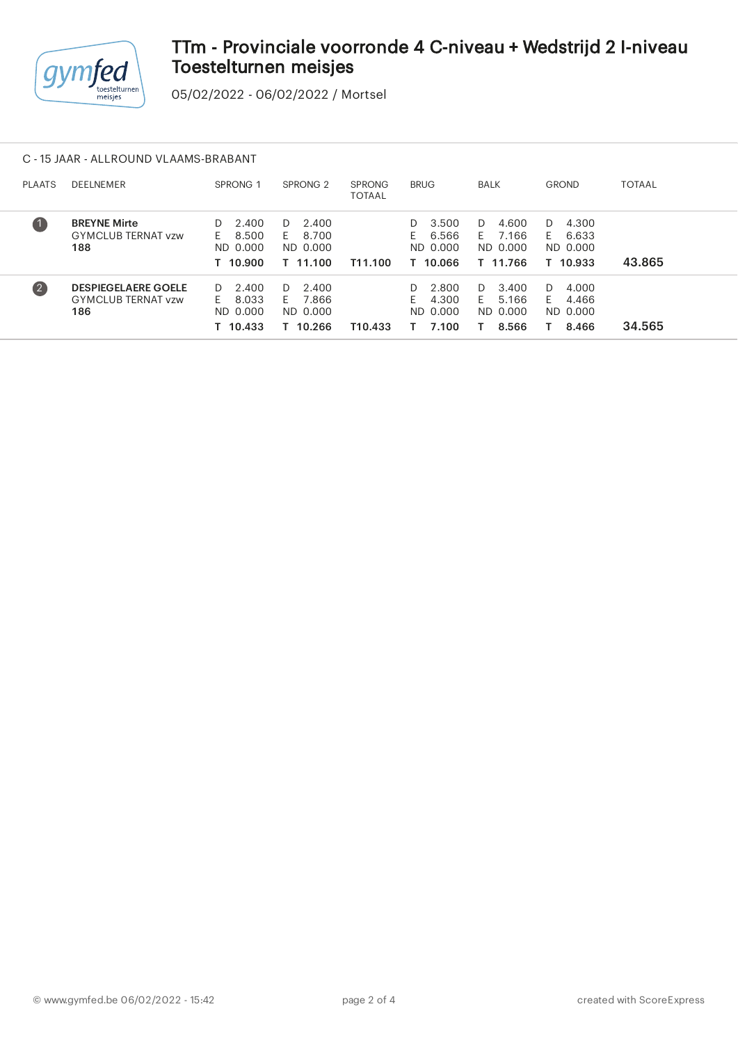

05/02/2022 - 06/02/2022 / Mortsel

### C - 15 JAAR - ALLROUND VLAAMS-BRABANT

| <b>PLAATS</b>     | <b>DEELNEMER</b>                                               | SPRONG <sub>1</sub>                                | SPRONG <sub>2</sub>                                | <b>SPRONG</b><br><b>TOTAAL</b> | <b>BRUG</b>                                           | <b>BALK</b>                                        | <b>GROND</b>                                       | TOTAAL |
|-------------------|----------------------------------------------------------------|----------------------------------------------------|----------------------------------------------------|--------------------------------|-------------------------------------------------------|----------------------------------------------------|----------------------------------------------------|--------|
| $\blacksquare$    | <b>BREYNE Mirte</b><br><b>GYMCLUB TERNAT vzw</b><br>188        | 2.400<br>D.<br>8.500<br>F.<br>ND 0.000<br>T 10.900 | 2.400<br>D.<br>8.700<br>F.<br>ND 0.000<br>T 11.100 | T11.100                        | 3.500<br>D.<br>6.566<br>Н.<br>ND 0.000<br>T 10.066    | 4.600<br>D.<br>7.166<br>F.<br>ND 0.000<br>T 11.766 | 4.300<br>D.<br>6.633<br>F.<br>ND 0.000<br>T 10.933 | 43.865 |
| $\left( 2\right)$ | <b>DESPIEGELAERE GOELE</b><br><b>GYMCLUB TERNAT vzw</b><br>186 | 2.400<br>D.<br>8.033<br>F.<br>ND 0.000<br>T 10.433 | 2.400<br>D.<br>7.866<br>E.<br>ND 0.000<br>T 10.266 | T10.433                        | 2.800<br>D.<br>4.300<br><b>E</b><br>ND 0.000<br>7.100 | 3.400<br>D.<br>5.166<br>F.<br>ND 0.000<br>8.566    | 4.000<br>D.<br>4.466<br>F.<br>ND 0.000<br>8.466    | 34.565 |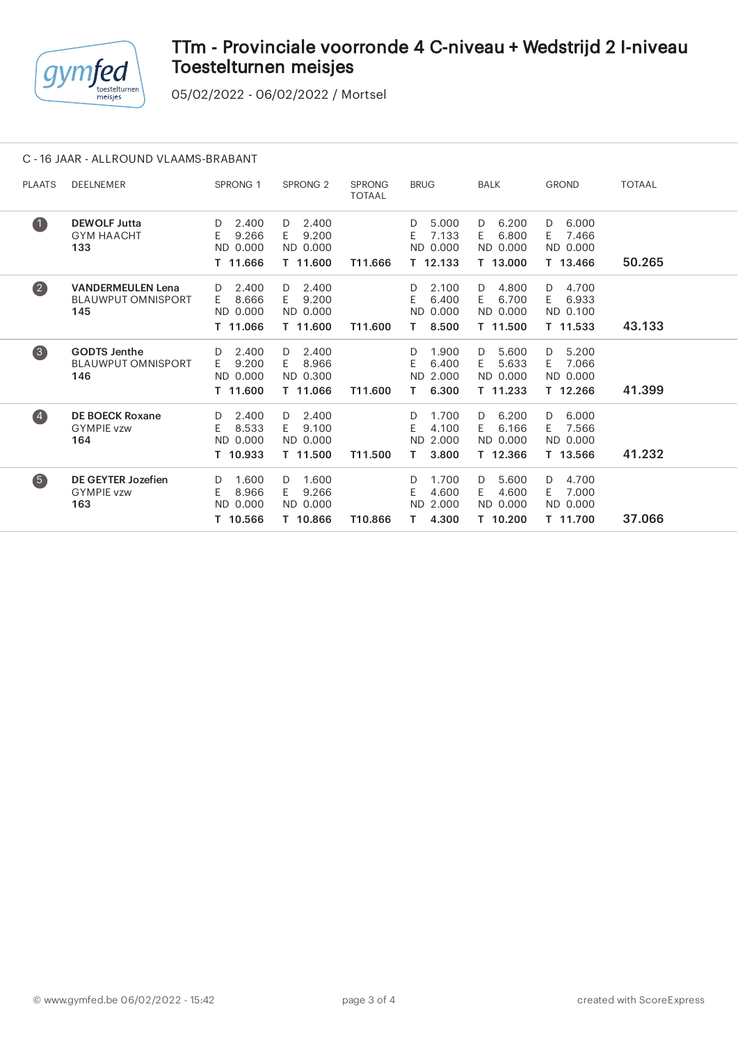

05/02/2022 - 06/02/2022 / Mortsel

### C - 16 JAAR - ALLROUND VLAAMS-BRABANT

| <b>PLAATS</b>           | DEELNEMER                                                    | SPRONG <sub>1</sub>                               | SPRONG <sub>2</sub>                               | <b>SPRONG</b><br><b>TOTAAL</b> | <b>BRUG</b>                                          | <b>BALK</b>                                       | <b>GROND</b>                                      | <b>TOTAAL</b> |  |
|-------------------------|--------------------------------------------------------------|---------------------------------------------------|---------------------------------------------------|--------------------------------|------------------------------------------------------|---------------------------------------------------|---------------------------------------------------|---------------|--|
| $\blacksquare$          | <b>DEWOLF Jutta</b><br><b>GYM HAACHT</b><br>133              | 2.400<br>D<br>9.266<br>E.<br>ND 0.000<br>T 11.666 | 2.400<br>D<br>9.200<br>E.<br>ND 0.000<br>T 11.600 | T11.666                        | 5.000<br>D<br>7.133<br>F.<br>ND 0.000<br>T 12.133    | 6.200<br>D<br>6.800<br>E.<br>ND 0.000<br>T 13.000 | 6.000<br>D<br>7.466<br>E.<br>ND 0.000<br>T 13.466 | 50.265        |  |
| $\overline{\mathbf{2}}$ | <b>VANDERMEULEN Lena</b><br><b>BLAUWPUT OMNISPORT</b><br>145 | 2.400<br>D<br>8.666<br>E.<br>ND 0.000<br>T 11.066 | 2.400<br>D<br>9.200<br>E.<br>ND 0.000<br>T 11.600 | T11.600                        | 2.100<br>D.<br>6.400<br>E<br>ND 0.000<br>8.500<br>Τ. | 4.800<br>D<br>6.700<br>E.<br>ND 0.000<br>T 11.500 | 4.700<br>D<br>E.<br>6.933<br>ND 0.100<br>T 11.533 | 43.133        |  |
| $\left(3\right)$        | <b>GODTS Jenthe</b><br><b>BLAUWPUT OMNISPORT</b><br>146      | 2.400<br>D<br>9.200<br>E.<br>ND 0.000<br>T 11.600 | 2.400<br>D<br>8.966<br>E.<br>ND 0.300<br>T 11.066 | T11.600                        | 1.900<br>D<br>6.400<br>E<br>ND 2.000<br>6.300<br>Τ.  | 5.600<br>D<br>5.633<br>E.<br>ND 0.000<br>T 11.233 | 5.200<br>D<br>7.066<br>E.<br>ND 0.000<br>T 12.266 | 41.399        |  |
| $\left( 4\right)$       | <b>DE BOECK Roxane</b><br><b>GYMPIE vzw</b><br>164           | 2.400<br>D<br>8.533<br>E.<br>ND 0.000<br>T 10.933 | 2.400<br>D<br>9.100<br>E.<br>ND 0.000<br>T 11.500 | T11.500                        | 1.700<br>D<br>E.<br>4.100<br>ND 2.000<br>3.800<br>T. | 6.200<br>D<br>6.166<br>E.<br>ND 0.000<br>T 12.366 | 6.000<br>D<br>7.566<br>E.<br>ND 0.000<br>T 13.566 | 41.232        |  |
| 6                       | <b>DE GEYTER Jozefien</b><br><b>GYMPIE vzw</b><br>163        | 1.600<br>D<br>8.966<br>E.<br>ND 0.000<br>T 10.566 | 1.600<br>D<br>9.266<br>E.<br>ND 0.000<br>T 10.866 | T10.866                        | 1.700<br>D<br>E<br>4.600<br>ND 2.000<br>4.300<br>Τ.  | 5.600<br>D<br>4.600<br>E.<br>ND 0.000<br>T 10.200 | 4.700<br>D<br>7.000<br>E.<br>ND 0.000<br>T 11.700 | 37.066        |  |